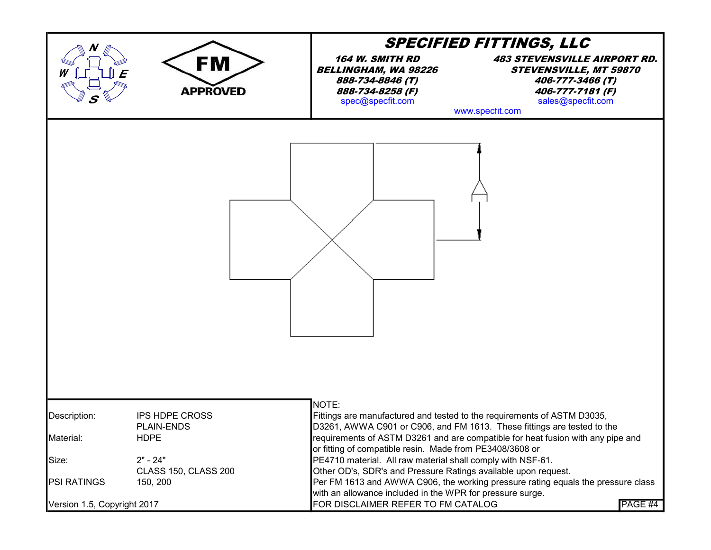|                             |                                                           | <b>SPECIFIED FITTINGS, LLC</b>                                                                                                |                                                                                                                                                      |  |
|-----------------------------|-----------------------------------------------------------|-------------------------------------------------------------------------------------------------------------------------------|------------------------------------------------------------------------------------------------------------------------------------------------------|--|
|                             | FM<br><b>APPROVED</b>                                     | <b>164 W. SMITH RD</b><br><b>BELLINGHAM, WA 98226</b><br>888-734-8846 (T)<br>888-734-8258 (F)<br>spec@specfit.com             | <b>483 STEVENSVILLE AIRPORT RD.</b><br><b>STEVENSVILLE, MT 59870</b><br>406-777-3466 (T)<br>406-777-7181 (F)<br>sales@specfit.com<br>www.spectit.com |  |
|                             |                                                           |                                                                                                                               |                                                                                                                                                      |  |
| Description:                | <b>IPS HDPE CROSS</b><br><b>PLAIN-ENDS</b><br><b>HDPE</b> | NOTE:<br>Fittings are manufactured and tested to the requirements of ASTM D3035,                                              | D3261, AWWA C901 or C906, and FM 1613. These fittings are tested to the                                                                              |  |
| Material:                   |                                                           | or fitting of compatible resin. Made from PE3408/3608 or                                                                      | requirements of ASTM D3261 and are compatible for heat fusion with any pipe and                                                                      |  |
| Size:                       | $2" - 24"$<br><b>CLASS 150, CLASS 200</b>                 | PE4710 material. All raw material shall comply with NSF-61.<br>Other OD's, SDR's and Pressure Ratings available upon request. |                                                                                                                                                      |  |
| <b>PSI RATINGS</b>          | 150, 200                                                  | with an allowance included in the WPR for pressure surge.                                                                     | Per FM 1613 and AWWA C906, the working pressure rating equals the pressure class                                                                     |  |
| Version 1.5, Copyright 2017 |                                                           | FOR DISCLAIMER REFER TO FM CATALOG                                                                                            | PAGE #4                                                                                                                                              |  |